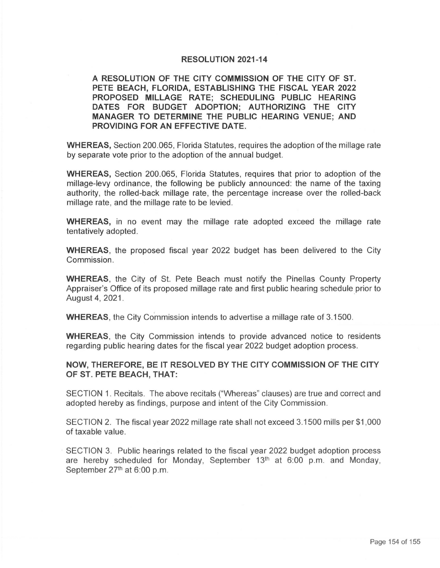## **RESOLUTION 2021-14**

**A RESOLUTION OF THE CITY COMMISSION OF THE CITY OF ST. PETE BEACH, FLORIDA, ESTABLISHING THE FISCAL YEAR 2022 PROPOSED MILLAGE RATE; SCHEDULING PUBLIC HEARING DATES FOR BUDGET ADOPTION; AUTHORIZING THE CITY MANAGER TO DETERMINE THE PUBLIC HEARING VENUE; AND PROVIDING FOR AN EFFECTIVE DATE.** 

**WHEREAS,** Section 200.065, Florida Statutes, requires the adoption of the millage rate by separate vote prior to the adoption of the annual budget.

**WHEREAS,** Section 200.065, Florida Statutes, requires that prior to adoption of the millage-levy ordinance, the following be publicly announced: the name of the taxing authority, the rolled-back millage rate, the percentage increase over the rolled-back millage rate, and the millage rate to be levied.

**WHEREAS,** in no event may the millage rate adopted exceed the millage rate tentatively adopted.

**WHEREAS,** the proposed fiscal year 2022 budget has been delivered to the City Commission .

**WHEREAS ,** the City of St. Pete Beach must notify the Pinellas County Property Appraiser's Office of its proposed millage rate and first public hearing schedule prior to August 4, 2021.

**WHEREAS**, the City Commission intends to advertise a millage rate of 3.1500.

**WHEREAS ,** the City Commission intends to provide advanced notice to residents regarding public hearing dates for the fiscal year 2022 budget adoption process.

**NOW, THEREFORE, BE IT RESOLVED BY THE CITY COMMISSION OF THE CITY OF ST. PETE BEACH, THAT:** 

SECTION 1. Recitals. The above recitals ("Whereas" clauses) are true and correct and adopted hereby as findings, purpose and intent of the City Commission.

SECTION 2. The fiscal year 2022 millage rate shall not exceed 3.1500 mills per \$1 ,000 of taxable value.

SECTION 3. Public hearings related to the fiscal year 2022 budget adoption process are hereby scheduled for Monday, September  $13<sup>th</sup>$  at 6:00 p.m. and Monday, September 27<sup>th</sup> at 6:00 p.m.